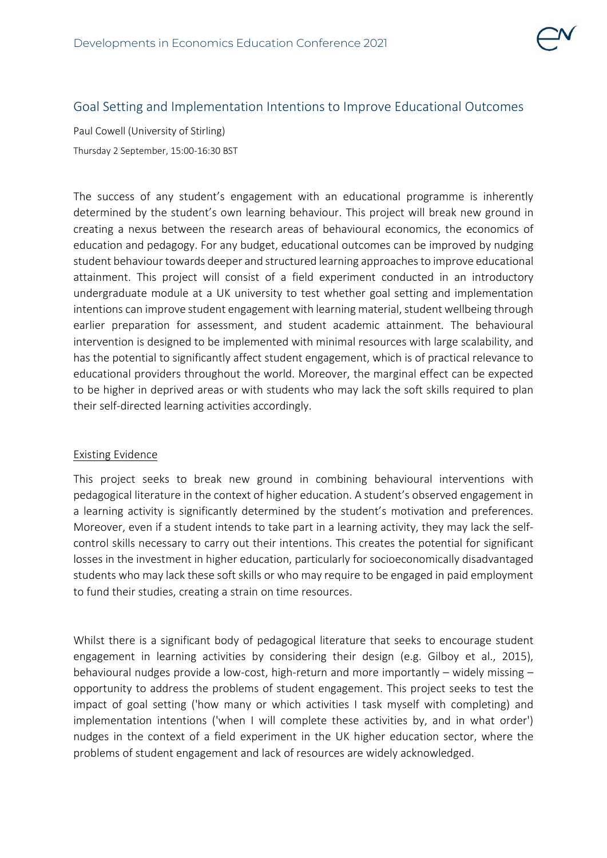

# Goal Setting and Implementation Intentions to Improve Educational Outcomes

Paul Cowell (University of Stirling) Thursday 2 September, 15:00-16:30 BST

The success of any student's engagement with an educational programme is inherently determined by the student's own learning behaviour. This project will break new ground in creating a nexus between the research areas of behavioural economics, the economics of education and pedagogy. For any budget, educational outcomes can be improved by nudging student behaviour towards deeper and structured learning approaches to improve educational attainment. This project will consist of a field experiment conducted in an introductory undergraduate module at a UK university to test whether goal setting and implementation intentions can improve student engagement with learning material, student wellbeing through earlier preparation for assessment, and student academic attainment. The behavioural intervention is designed to be implemented with minimal resources with large scalability, and has the potential to significantly affect student engagement, which is of practical relevance to educational providers throughout the world. Moreover, the marginal effect can be expected to be higher in deprived areas or with students who may lack the soft skills required to plan their self-directed learning activities accordingly.

#### Existing Evidence

This project seeks to break new ground in combining behavioural interventions with pedagogical literature in the context of higher education. A student's observed engagement in a learning activity is significantly determined by the student's motivation and preferences. Moreover, even if a student intends to take part in a learning activity, they may lack the selfcontrol skills necessary to carry out their intentions. This creates the potential for significant losses in the investment in higher education, particularly for socioeconomically disadvantaged students who may lack these soft skills or who may require to be engaged in paid employment to fund their studies, creating a strain on time resources.

Whilst there is a significant body of pedagogical literature that seeks to encourage student engagement in learning activities by considering their design (e.g. Gilboy et al., 2015), behavioural nudges provide a low-cost, high-return and more importantly – widely missing – opportunity to address the problems of student engagement. This project seeks to test the impact of goal setting ('how many or which activities I task myself with completing) and implementation intentions ('when I will complete these activities by, and in what order') nudges in the context of a field experiment in the UK higher education sector, where the problems of student engagement and lack of resources are widely acknowledged.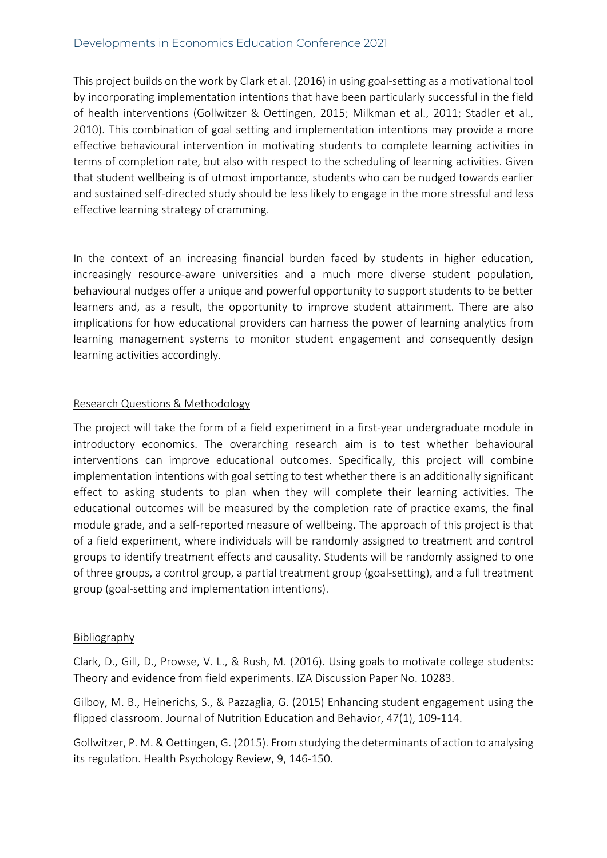## Developments in Economics Education Conference 2021

This project builds on the work by Clark et al. (2016) in using goal-setting as a motivational tool by incorporating implementation intentions that have been particularly successful in the field of health interventions (Gollwitzer & Oettingen, 2015; Milkman et al., 2011; Stadler et al., 2010). This combination of goal setting and implementation intentions may provide a more effective behavioural intervention in motivating students to complete learning activities in terms of completion rate, but also with respect to the scheduling of learning activities. Given that student wellbeing is of utmost importance, students who can be nudged towards earlier and sustained self-directed study should be less likely to engage in the more stressful and less effective learning strategy of cramming.

In the context of an increasing financial burden faced by students in higher education, increasingly resource-aware universities and a much more diverse student population, behavioural nudges offer a unique and powerful opportunity to support students to be better learners and, as a result, the opportunity to improve student attainment. There are also implications for how educational providers can harness the power of learning analytics from learning management systems to monitor student engagement and consequently design learning activities accordingly.

### Research Questions & Methodology

The project will take the form of a field experiment in a first-year undergraduate module in introductory economics. The overarching research aim is to test whether behavioural interventions can improve educational outcomes. Specifically, this project will combine implementation intentions with goal setting to test whether there is an additionally significant effect to asking students to plan when they will complete their learning activities. The educational outcomes will be measured by the completion rate of practice exams, the final module grade, and a self-reported measure of wellbeing. The approach of this project is that of a field experiment, where individuals will be randomly assigned to treatment and control groups to identify treatment effects and causality. Students will be randomly assigned to one of three groups, a control group, a partial treatment group (goal-setting), and a full treatment group (goal-setting and implementation intentions).

### Bibliography

Clark, D., Gill, D., Prowse, V. L., & Rush, M. (2016). Using goals to motivate college students: Theory and evidence from field experiments. IZA Discussion Paper No. 10283.

Gilboy, M. B., Heinerichs, S., & Pazzaglia, G. (2015) Enhancing student engagement using the flipped classroom. Journal of Nutrition Education and Behavior, 47(1), 109-114.

Gollwitzer, P. M. & Oettingen, G. (2015). From studying the determinants of action to analysing its regulation. Health Psychology Review, 9, 146-150.